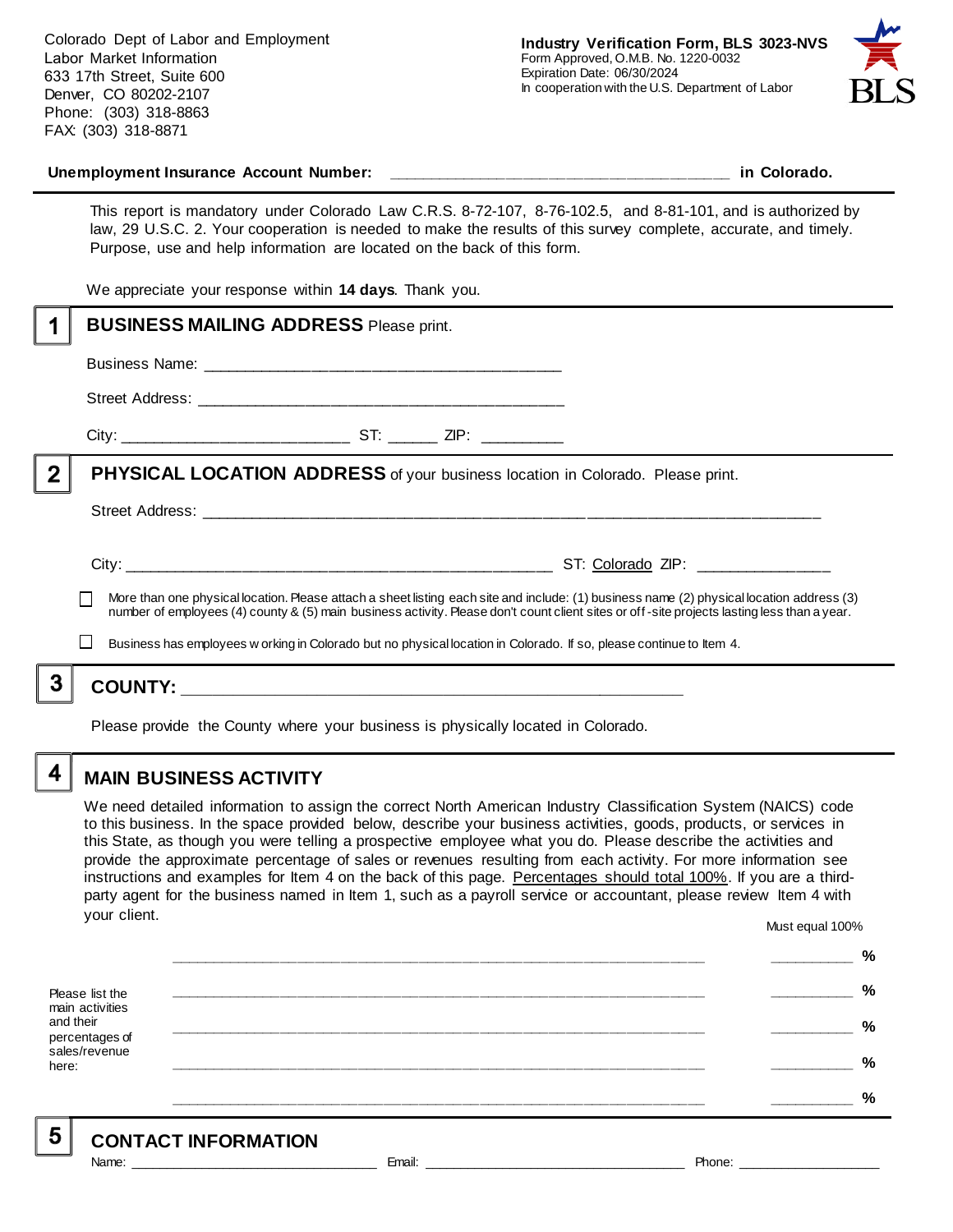

#### Unemployment Insurance Account Number: **with a set of the set of the set of the set of the set of the set of the set of the set of the set of the set of the set of the set of the set of the set of the set of the set of the**

This report is mandatory under Colorado Law C.R.S. 8-72-107, 8-76-102.5, and 8-81-101, and is authorized by law, 29 U.S.C. 2. Your cooperation is needed to make the results of this survey complete, accurate, and timely. Purpose, use and help information are located on the back of this form.

We appreciate your response within **14 days**. Thank you.

|   | <b>BUSINESS MAILING ADDRESS Please print.</b>                                                                                                                                                                                                                      |
|---|--------------------------------------------------------------------------------------------------------------------------------------------------------------------------------------------------------------------------------------------------------------------|
|   |                                                                                                                                                                                                                                                                    |
|   |                                                                                                                                                                                                                                                                    |
|   |                                                                                                                                                                                                                                                                    |
|   | <b>PHYSICAL LOCATION ADDRESS</b> of your business location in Colorado. Please print.                                                                                                                                                                              |
|   |                                                                                                                                                                                                                                                                    |
|   | More than one physical location. Please attach a sheet listing each site and include: (1) business name (2) physical location address (3)                                                                                                                          |
|   | number of employees (4) county & (5) main business activity. Please don't count client sites or off-site projects lasting less than a year.<br>Business has employees w orking in Colorado but no physical location in Colorado. If so, please continue to Item 4. |
| 3 |                                                                                                                                                                                                                                                                    |
|   |                                                                                                                                                                                                                                                                    |

Please provide the County where your business is physically located in Colorado.

4

5

### **MAIN BUSINESS ACTIVITY**

We need detailed information to assign the correct North American Industry Classification System (NAICS) code to this business. In the space provided below, describe your business activities, goods, products, or services in this State, as though you were telling a prospective employee what you do. Please describe the activities and provide the approximate percentage of sales or revenues resulting from each activity. For more information see instructions and examples for Item 4 on the back of this page. Percentages should total 100%. If you are a thirdparty agent for the business named in Item 1, such as a payroll service or accountant, please review Item 4 with your client. Must equal 100%

Please list the main activities and their percentages of sales/revenue here: **\_\_\_\_\_\_\_\_\_\_\_\_\_\_\_\_\_\_\_\_\_\_\_\_\_\_\_\_\_\_\_\_\_\_\_\_\_\_\_\_\_\_\_\_\_\_\_\_\_\_\_\_\_\_\_\_\_\_\_\_\_\_ \_\_\_\_\_\_\_\_\_\_ % \_\_\_\_\_\_\_\_\_\_\_\_\_\_\_\_\_\_\_\_\_\_\_\_\_\_\_\_\_\_\_\_\_\_\_\_\_\_\_\_\_\_\_\_\_\_\_\_\_\_\_\_\_\_\_\_\_\_\_\_\_\_ \_\_\_\_\_\_\_\_\_\_ % \_\_\_\_\_\_\_\_\_\_\_\_\_\_\_\_\_\_\_\_\_\_\_\_\_\_\_\_\_\_\_\_\_\_\_\_\_\_\_\_\_\_\_\_\_\_\_\_\_\_\_\_\_\_\_\_\_\_\_\_\_\_ \_\_\_\_\_\_\_\_\_\_ % \_\_\_\_\_\_\_\_\_\_\_\_\_\_\_\_\_\_\_\_\_\_\_\_\_\_\_\_\_\_\_\_\_\_\_\_\_\_\_\_\_\_\_\_\_\_\_\_\_\_\_\_\_\_\_\_\_\_\_\_\_\_ \_\_\_\_\_\_\_\_\_\_ % \_\_\_\_\_\_\_\_\_\_\_\_\_\_\_\_\_\_\_\_\_\_\_\_\_\_\_\_\_\_\_\_\_\_\_\_\_\_\_\_\_\_\_\_\_\_\_\_\_\_\_\_\_\_\_\_\_\_\_\_\_\_ \_\_\_\_\_\_\_\_\_\_ %**